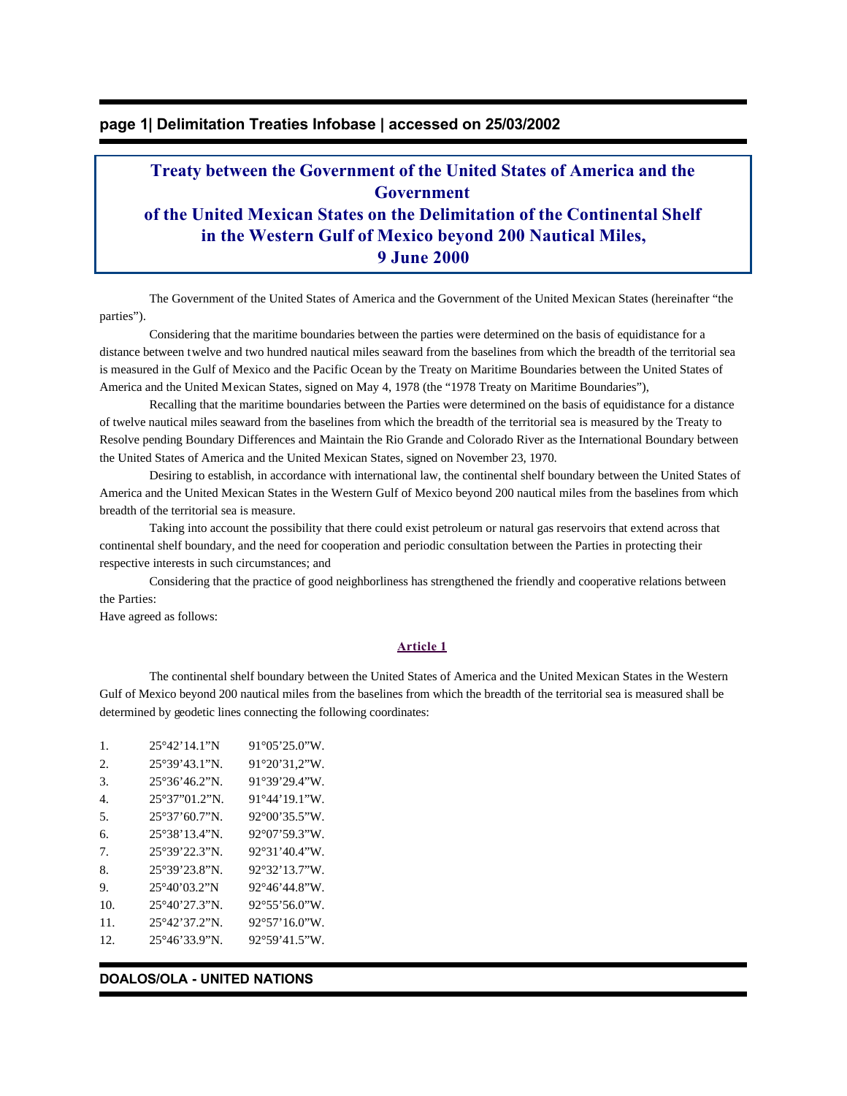# **page 1| Delimitation Treaties Infobase | accessed on 25/03/2002**

# **Treaty between the Government of the United States of America and the Government of the United Mexican States on the Delimitation of the Continental Shelf in the Western Gulf of Mexico beyond 200 Nautical Miles, 9 June 2000**

The Government of the United States of America and the Government of the United Mexican States (hereinafter "the parties").

 Considering that the maritime boundaries between the parties were determined on the basis of equidistance for a distance between twelve and two hundred nautical miles seaward from the baselines from which the breadth of the territorial sea is measured in the Gulf of Mexico and the Pacific Ocean by the Treaty on Maritime Boundaries between the United States of America and the United Mexican States, signed on May 4, 1978 (the "1978 Treaty on Maritime Boundaries"),

 Recalling that the maritime boundaries between the Parties were determined on the basis of equidistance for a distance of twelve nautical miles seaward from the baselines from which the breadth of the territorial sea is measured by the Treaty to Resolve pending Boundary Differences and Maintain the Rio Grande and Colorado River as the International Boundary between the United States of America and the United Mexican States, signed on November 23, 1970.

 Desiring to establish, in accordance with international law, the continental shelf boundary between the United States of America and the United Mexican States in the Western Gulf of Mexico beyond 200 nautical miles from the baselines from which breadth of the territorial sea is measure.

 Taking into account the possibility that there could exist petroleum or natural gas reservoirs that extend across that continental shelf boundary, and the need for cooperation and periodic consultation between the Parties in protecting their respective interests in such circumstances; and

 Considering that the practice of good neighborliness has strengthened the friendly and cooperative relations between the Parties:

Have agreed as follows:

### **Article 1**

 The continental shelf boundary between the United States of America and the United Mexican States in the Western Gulf of Mexico beyond 200 nautical miles from the baselines from which the breadth of the territorial sea is measured shall be determined by geodetic lines connecting the following coordinates:

| $\mathbf{1}$ .  | 25°42'14.1"N                                        | $91^{\circ}05'25.0''W$ . |
|-----------------|-----------------------------------------------------|--------------------------|
| 2.              | $25^{\circ}39'43.1"N.$                              | $91^{\circ}20'31.2''W$ . |
| 3.              | $25^{\circ}36^{\prime}46.2^{\prime\prime}N$ .       | 91°39'29.4"W.            |
| 4.              | $25^{\circ}37^{\prime\prime}01.2^{\prime\prime}N$ . | $91^{\circ}44'19.1''W$ . |
| 5.              | $25^{\circ}37'60.7''N$ .                            | $92^{\circ}00'35.5''W$ . |
| б.              | 25°38'13.4"N.                                       | $92^{\circ}07'59.3''W$ . |
| 7.              | $25^{\circ}39'22.3"N$                               | $92^{\circ}31'40.4''W$   |
| 8.              | 25°39'23.8"N.                                       | $92^{\circ}32'13.7''W$   |
| 9.              | 25°40'03.2"N                                        | $92^{\circ}46'44.8''W$   |
| 10 <sub>1</sub> | $25^{\circ}40'27.3"N$ .                             | $92^{\circ}55'56.0''W$   |
| 11.             | $25^{\circ}42'37.2''N$                              | $92^{\circ}57'16.0''W$   |
| 12.             | $25^{\circ}46'33.9''N$ .                            | $92^{\circ}59'41.5''W$ . |

#### **DOALOS/OLA - UNITED NATIONS**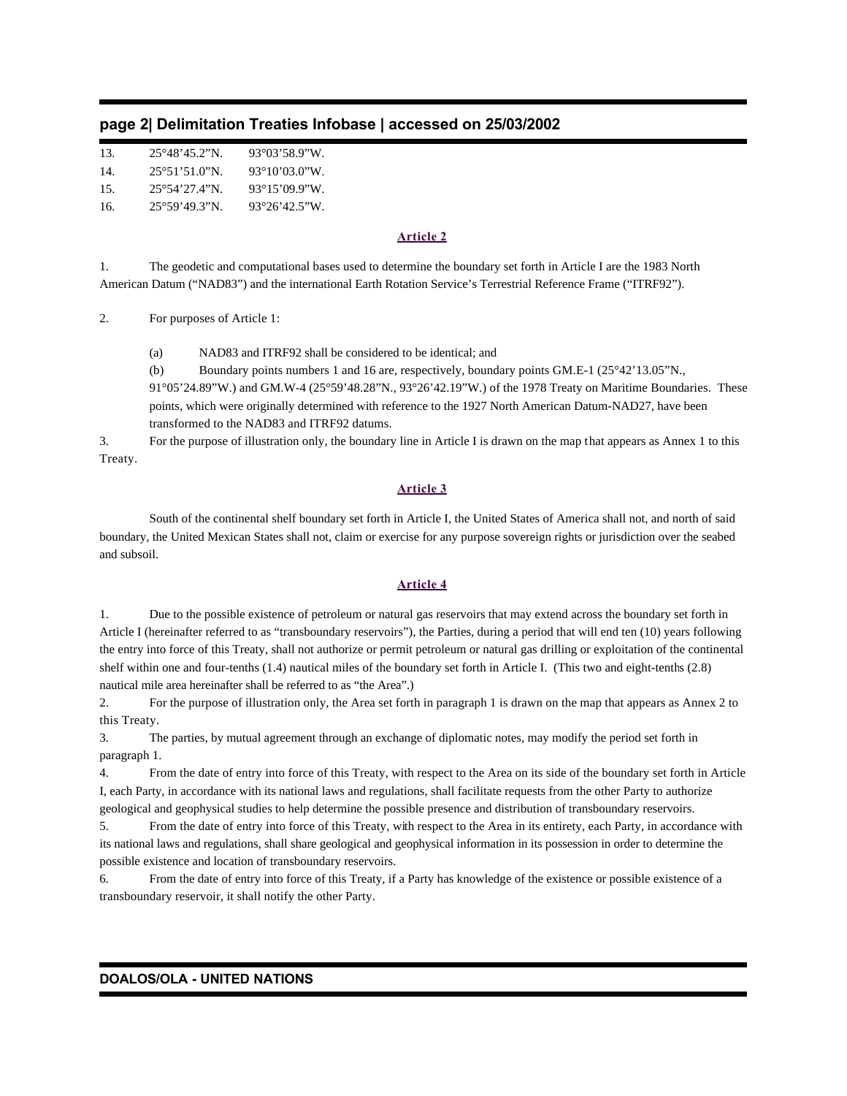|  |  |  |  |  | page 2  Delimitation Treaties Infobase   accessed on 25/03/2002 |  |
|--|--|--|--|--|-----------------------------------------------------------------|--|
|--|--|--|--|--|-----------------------------------------------------------------|--|

| 13. | 25°48'45.2"N.            | 93°03'58.9"W             |
|-----|--------------------------|--------------------------|
| 14. | $25^{\circ}51'510''$ N   | $93^{\circ}10'03.0''W$   |
| 15. | $25^{\circ}54'27.4''N$   | $93^{\circ}15'09.9''W$   |
| 16. | $25^{\circ}59'49.3''N$ . | $93^{\circ}26'42.5''W$ . |

### **Article 2**

1. The geodetic and computational bases used to determine the boundary set forth in Article I are the 1983 North American Datum ("NAD83") and the international Earth Rotation Service's Terrestrial Reference Frame ("ITRF92").

2. For purposes of Article 1:

(a) NAD83 and ITRF92 shall be considered to be identical; and

(b) Boundary points numbers 1 and 16 are, respectively, boundary points GM.E-1 (25°42'13.05"N., 91°05'24.89"W.) and GM.W-4 (25°59'48.28"N., 93°26'42.19"W.) of the 1978 Treaty on Maritime Boundaries. These points, which were originally determined with reference to the 1927 North American Datum-NAD27, have been transformed to the NAD83 and ITRF92 datums.

3. For the purpose of illustration only, the boundary line in Article I is drawn on the map that appears as Annex 1 to this Treaty.

# **Article 3**

 South of the continental shelf boundary set forth in Article I, the United States of America shall not, and north of said boundary, the United Mexican States shall not, claim or exercise for any purpose sovereign rights or jurisdiction over the seabed and subsoil.

# **Article 4**

1. Due to the possible existence of petroleum or natural gas reservoirs that may extend across the boundary set forth in Article I (hereinafter referred to as "transboundary reservoirs"), the Parties, during a period that will end ten (10) years following the entry into force of this Treaty, shall not authorize or permit petroleum or natural gas drilling or exploitation of the continental shelf within one and four-tenths (1.4) nautical miles of the boundary set forth in Article I. (This two and eight-tenths (2.8) nautical mile area hereinafter shall be referred to as "the Area".)

2. For the purpose of illustration only, the Area set forth in paragraph 1 is drawn on the map that appears as Annex 2 to this Treaty.

3. The parties, by mutual agreement through an exchange of diplomatic notes, may modify the period set forth in paragraph 1.

4. From the date of entry into force of this Treaty, with respect to the Area on its side of the boundary set forth in Article I, each Party, in accordance with its national laws and regulations, shall facilitate requests from the other Party to authorize geological and geophysical studies to help determine the possible presence and distribution of transboundary reservoirs.

5. From the date of entry into force of this Treaty, with respect to the Area in its entirety, each Party, in accordance with its national laws and regulations, shall share geological and geophysical information in its possession in order to determine the possible existence and location of transboundary reservoirs.

6. From the date of entry into force of this Treaty, if a Party has knowledge of the existence or possible existence of a transboundary reservoir, it shall notify the other Party.